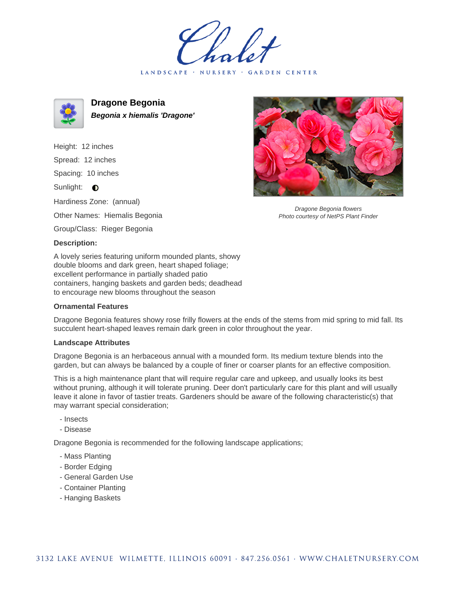LANDSCAPE · NURSERY · GARDEN CENTER



**Dragone Begonia Begonia x hiemalis 'Dragone'**

Height: 12 inches Spread: 12 inches Spacing: 10 inches Sunlight: **O** Hardiness Zone: (annual)

Other Names: Hiemalis Begonia

Group/Class: Rieger Begonia

## **Description:**

A lovely series featuring uniform mounded plants, showy double blooms and dark green, heart shaped foliage; excellent performance in partially shaded patio containers, hanging baskets and garden beds; deadhead to encourage new blooms throughout the season

## **Ornamental Features**

Dragone Begonia features showy rose frilly flowers at the ends of the stems from mid spring to mid fall. Its succulent heart-shaped leaves remain dark green in color throughout the year.

## **Landscape Attributes**

Dragone Begonia is an herbaceous annual with a mounded form. Its medium texture blends into the garden, but can always be balanced by a couple of finer or coarser plants for an effective composition.

This is a high maintenance plant that will require regular care and upkeep, and usually looks its best without pruning, although it will tolerate pruning. Deer don't particularly care for this plant and will usually leave it alone in favor of tastier treats. Gardeners should be aware of the following characteristic(s) that may warrant special consideration;

- Insects
- Disease

Dragone Begonia is recommended for the following landscape applications;

- Mass Planting
- Border Edging
- General Garden Use
- Container Planting
- Hanging Baskets



Dragone Begonia flowers Photo courtesy of NetPS Plant Finder